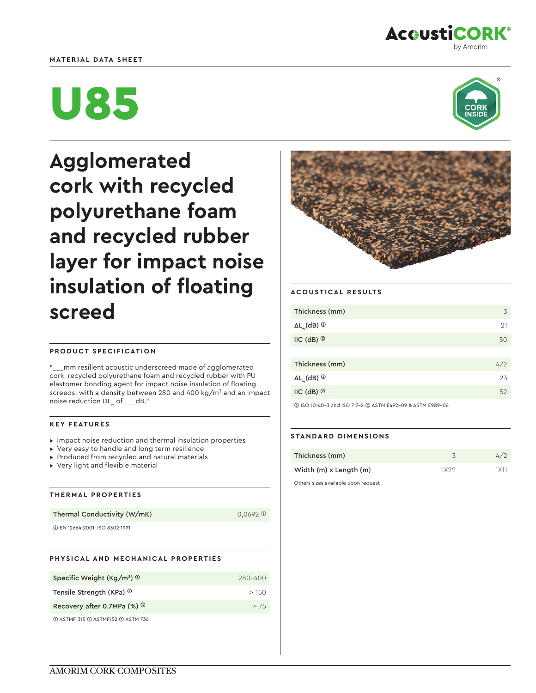# **MATERIAL DATA SHEET**



# U85



**Agglomerated cork with recycled polyurethane foam and recycled rubber layer for impact noise insulation of floating screed**

# **PRODUCT SPECIFICATION**

\_mm resilient acoustic underscreed made of agglomerated cork, recycled polyurethane foam and recycled rubber with PU elastomer bonding agent for impact noise insulation of floating screeds, with a density between 280 and 400 kg/ $m<sup>3</sup>$  and an impact noise reduction  $DL_{w}$  of  $_{---}$ dB."

## **KEY FEATURES**

- ▸ Impact noise reduction and thermal insulation properties
- ▸ Very easy to handle and long term resilience
- ▸ Produced from recycled and natural materials
- ▸ Very light and flexible material

## **THERMAL PROPERTIES**

Thermal Conductivity (W/mK)  $0,0692 \space^{\circ}$ 

➀ EN 12664:2001; ISO 8302:1991

|  | PHYSICAL AND MECHANICAL PROPERTIES |  |
|--|------------------------------------|--|
|  |                                    |  |

| Specific Weight (Kg/m <sup>3</sup> ) $\circledcirc$ | $280 - 400$ |
|-----------------------------------------------------|-------------|
| Tensile Strength (KPa) <sup>2</sup>                 | >150        |
| Recovery after 0.7MPa (%) ®                         | > 7.5       |
| 1 ASTMF1315 2 ASTMF152 3 ASTM F36                   |             |



# **ACOUSTICAL RESULTS**

| Thickness (mm)                                 | 3   |
|------------------------------------------------|-----|
| $\Delta L_{_{\mathrm{W}}}$ (dB) $^{\circledR}$ | 21  |
| $IC$ (dB) $@$                                  | 50  |
|                                                |     |
| Thickness (mm)                                 | 4/2 |
| $\Delta L_{_{\mathrm{W}}}$ (dB) $^{\circledR}$ | 23  |
| $IC$ (dB) $@$                                  | 52  |
|                                                |     |

➀ ISO 10140-3 and ISO 717-2 ➁ ASTM E492-09 & ASTM E989-06

## **STANDARD DIMENSIONS**

| Thickness (mm)                          |         | 47               |
|-----------------------------------------|---------|------------------|
| Width (m) x Length (m)                  | 1 X 2 2 | 1 <sub>X11</sub> |
| Others since condicile to an an accepte |         |                  |

Others sizes available upon request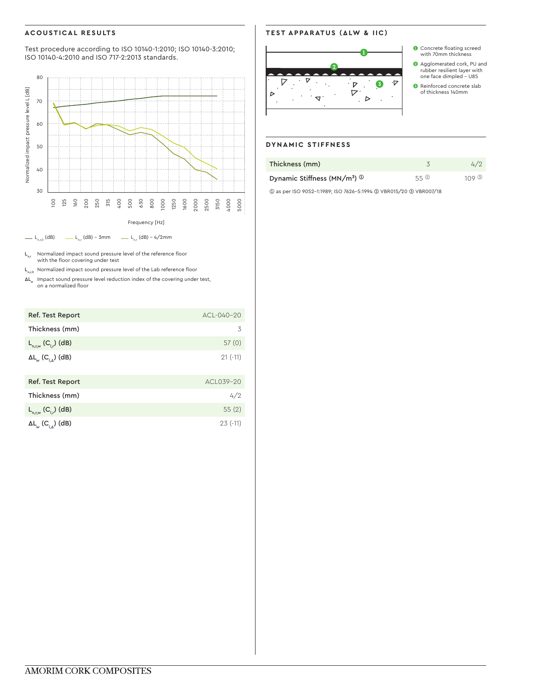# **ACOUSTICAL RESULTS**

Test procedure according to ISO 10140-1:2010; ISO 10140-3:2010; ISO 10140-4:2010 and ISO 717-2:2013 standards.



 $L_{n,r}$  Normalized impact sound pressure level of the reference floor with the floor covering under test

 $L_{n,r,0}$  Normalized impact sound pressure level of the Lab reference floor

 $\Delta L_w$  Impact sound pressure level reduction index of the covering under test, on a normalized floor

| Ref. Test Report                                               | $ACI - 040 - 20$ |
|----------------------------------------------------------------|------------------|
| Thickness (mm)                                                 | 3                |
| $L_{n,r,w} (C_{l,r})$ (dB)                                     | 57(0)            |
| $\Delta L_{_{\mathrm{W}}}$ (C <sub>IA</sub> ) (dB)             | $21(-11)$        |
| Ref. Test Report                                               | ACI 039-20       |
| Thickness (mm)                                                 | 4/2              |
| $L_{n,r,w} (C_{l,r})$ (dB)                                     | 55(2)            |
| $\Delta L_{_{\mathrm{W}}}\left(C_{_{\vert\Delta}}\right)$ (dB) | $23(-11)$        |

# **TEST APPARATUS (ΔLW & IIC)**



- ❶ Concrete floating screed with 70mm thickness
- ❷ Agglomerated cork, PU and rubber resilient layer with one face dimpled - U85
- ❸ Reinforced concrete slab of thickness 140mm

# **DYNAMIC STIFFNESS**

| Thickness (mm)                                           |       | 4/2   |
|----------------------------------------------------------|-------|-------|
| Dynamic Stiffness (MN/m <sup>3</sup> ) $\textcircled{1}$ | 55(2) | 109 ® |

➀ as per ISO 9052-1:1989; ISO 7626-5:1994 ➁ VBR015/20 ➂ VBR007/18